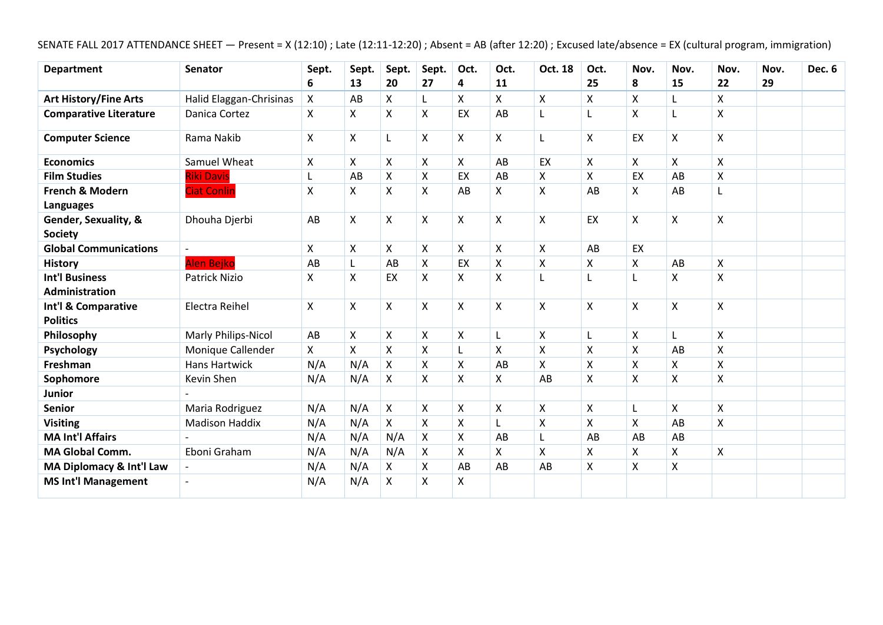# SENATE FALL 2017 ATTENDANCE SHEET — Present = X (12:10) ; Late (12:11-12:20) ; Absent = AB (after 12:20) ; Excused late/absence = EX (cultural program, immigration)

| <b>Department</b>                       | <b>Senator</b>          | Sept. | Sept. | Sept.              | Sept.              | Oct.               | Oct.               | Oct. 18            | Oct.               | Nov.                      | Nov. | Nov.               | Nov. | Dec. 6 |
|-----------------------------------------|-------------------------|-------|-------|--------------------|--------------------|--------------------|--------------------|--------------------|--------------------|---------------------------|------|--------------------|------|--------|
|                                         |                         | 6     | 13    | 20                 | 27                 | 4                  | 11                 |                    | 25                 | 8                         | 15   | 22                 | 29   |        |
| <b>Art History/Fine Arts</b>            | Halid Elaggan-Chrisinas | X     | AB    | X                  | L                  | X                  | X                  | X                  | X                  | X                         | L    | Χ                  |      |        |
| <b>Comparative Literature</b>           | Danica Cortez           | X     | X     | X                  | X                  | EX                 | AB                 | L                  | $\mathsf{L}$       | Χ                         |      | X                  |      |        |
| <b>Computer Science</b>                 | Rama Nakib              | X     | X     | L                  | X                  | X                  | X                  | L                  | X                  | EX                        | X    | X                  |      |        |
| <b>Economics</b>                        | Samuel Wheat            | X     | Χ     | X                  | X                  | X                  | AB                 | EX                 | X                  | $\pmb{\times}$            | X    | $\pmb{\mathsf{X}}$ |      |        |
| <b>Film Studies</b>                     | <b>Riki Davis</b>       | L     | AB    | $\pmb{\mathsf{X}}$ | $\pmb{\mathsf{X}}$ | EX                 | AB                 | X                  | $\pmb{\times}$     | EX                        | AB   | $\pmb{\mathsf{X}}$ |      |        |
| <b>French &amp; Modern</b><br>Languages | <b>Ciat Conlin</b>      | X     | X     | $\pmb{\mathsf{X}}$ | $\pmb{\mathsf{X}}$ | AB                 | Χ                  | X                  | AB                 | Χ                         | AB   | L                  |      |        |
| Gender, Sexuality, &<br><b>Society</b>  | Dhouha Djerbi           | AB    | X     | X                  | $\pmb{\mathsf{X}}$ | X                  | $\mathsf{\chi}$    | $\mathsf{X}$       | EX                 | $\pmb{\mathsf{X}}$        | Χ    | $\pmb{\mathsf{X}}$ |      |        |
| <b>Global Communications</b>            |                         | X     | Χ     | X                  | $\pmb{\mathsf{X}}$ | X                  | $\pmb{\mathsf{X}}$ | $\pmb{\mathsf{X}}$ | AB                 | EX                        |      |                    |      |        |
| <b>History</b>                          | Alen Bejko              | AB    | L     | AB                 | X                  | EX                 | X                  | Χ                  | X                  | X                         | AB   | $\pmb{\mathsf{X}}$ |      |        |
| <b>Int'l Business</b>                   | <b>Patrick Nizio</b>    | X     | X     | EX                 | X                  | X                  | $\mathsf{x}$       | L                  |                    |                           | X    | $\mathsf{X}$       |      |        |
| <b>Administration</b>                   |                         |       |       |                    |                    |                    |                    |                    |                    |                           |      |                    |      |        |
| Int'l & Comparative                     | Electra Reihel          | X     | X     | X                  | X                  | X                  | $\mathsf{\chi}$    | $\mathsf{X}$       | X                  | $\pmb{\mathsf{X}}$        | Χ    | X                  |      |        |
| <b>Politics</b>                         |                         |       |       |                    |                    |                    |                    |                    |                    |                           |      |                    |      |        |
| Philosophy                              | Marly Philips-Nicol     | AB    | Χ     | X                  | X                  | $\pmb{\mathsf{X}}$ | L                  | X                  |                    | $\boldsymbol{\mathsf{X}}$ |      | X                  |      |        |
| Psychology                              | Monique Callender       | X     | X     | X                  | X                  |                    | X                  | X                  | X                  | X                         | AB   | X                  |      |        |
| Freshman                                | <b>Hans Hartwick</b>    | N/A   | N/A   | X                  | X                  | $\pmb{\mathsf{X}}$ | AB                 | Χ                  | $\pmb{\mathsf{X}}$ | Χ                         | X    | X                  |      |        |
| Sophomore                               | Kevin Shen              | N/A   | N/A   | X                  | X                  | X                  | Χ                  | AB                 | X                  | X                         | X    | X                  |      |        |
| <b>Junior</b>                           |                         |       |       |                    |                    |                    |                    |                    |                    |                           |      |                    |      |        |
| <b>Senior</b>                           | Maria Rodriguez         | N/A   | N/A   | X                  | X                  | X                  | Χ                  | Χ                  | X                  |                           | X    | X                  |      |        |
| <b>Visiting</b>                         | <b>Madison Haddix</b>   | N/A   | N/A   | $\pmb{\mathsf{X}}$ | $\pmb{\mathsf{X}}$ | $\mathsf{X}$       | L                  | X                  | $\mathsf{X}$       | X                         | AB   | $\mathsf{X}$       |      |        |
| <b>MA Int'l Affairs</b>                 |                         | N/A   | N/A   | N/A                | X                  | $\pmb{\mathsf{X}}$ | AB                 |                    | AB                 | AB                        | AB   |                    |      |        |
| <b>MA Global Comm.</b>                  | Eboni Graham            | N/A   | N/A   | N/A                | X                  | X                  | X                  | Χ                  | $\pmb{\times}$     | Χ                         | X    | X                  |      |        |
| MA Diplomacy & Int'l Law                |                         | N/A   | N/A   | X                  | X                  | AB                 | AB                 | AB                 | X                  | X                         | X    |                    |      |        |
| <b>MS Int'l Management</b>              |                         | N/A   | N/A   | X                  | X                  | X                  |                    |                    |                    |                           |      |                    |      |        |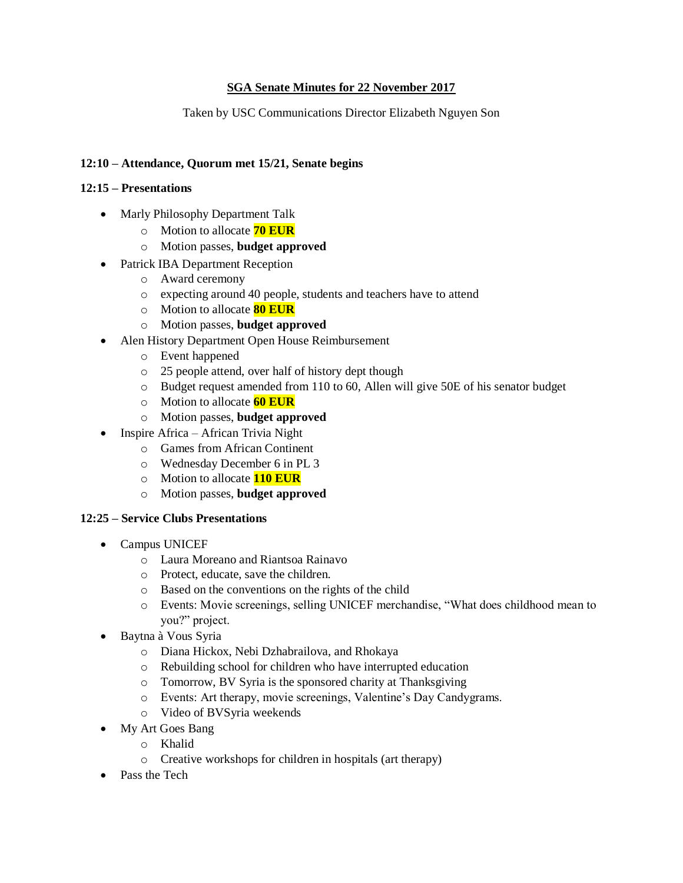# **SGA Senate Minutes for 22 November 2017**

Taken by USC Communications Director Elizabeth Nguyen Son

## **12:10 – Attendance, Quorum met 15/21, Senate begins**

#### **12:15 – Presentations**

- Marly Philosophy Department Talk
	- o Motion to allocate **70 EUR**
	- o Motion passes, **budget approved**
- Patrick IBA Department Reception
	- o Award ceremony
	- o expecting around 40 people, students and teachers have to attend
	- o Motion to allocate **80 EUR**
	- o Motion passes, **budget approved**
- Alen History Department Open House Reimbursement
	- o Event happened
	- o 25 people attend, over half of history dept though
	- o Budget request amended from 110 to 60, Allen will give 50E of his senator budget
	- o Motion to allocate **60 EUR**
	- o Motion passes, **budget approved**
- Inspire Africa African Trivia Night
	- o Games from African Continent
	- o Wednesday December 6 in PL 3
	- o Motion to allocate **110 EUR**
	- o Motion passes, **budget approved**

#### **12:25 – Service Clubs Presentations**

- Campus UNICEF
	- o Laura Moreano and Riantsoa Rainavo
	- o Protect, educate, save the children.
	- o Based on the conventions on the rights of the child
	- o Events: Movie screenings, selling UNICEF merchandise, "What does childhood mean to you?" project.
- Baytna à Vous Syria
	- o Diana Hickox, Nebi Dzhabrailova, and Rhokaya
	- o Rebuilding school for children who have interrupted education
	- o Tomorrow, BV Syria is the sponsored charity at Thanksgiving
	- o Events: Art therapy, movie screenings, Valentine's Day Candygrams.
	- o Video of BVSyria weekends
- My Art Goes Bang
	- o Khalid
	- o Creative workshops for children in hospitals (art therapy)
- Pass the Tech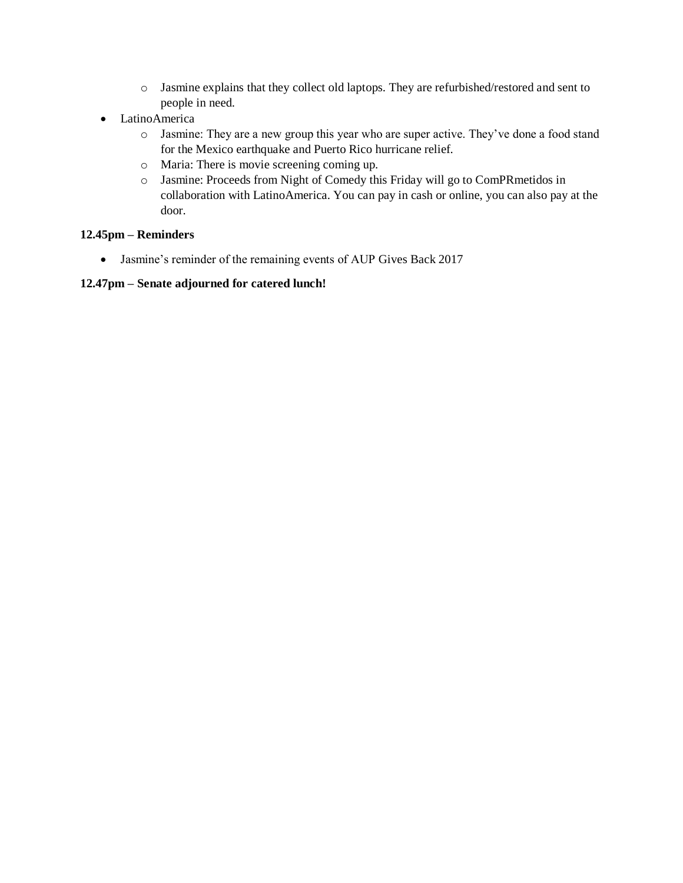- o Jasmine explains that they collect old laptops. They are refurbished/restored and sent to people in need.
- LatinoAmerica
	- o Jasmine: They are a new group this year who are super active. They've done a food stand for the Mexico earthquake and Puerto Rico hurricane relief.
	- o Maria: There is movie screening coming up.
	- o Jasmine: Proceeds from Night of Comedy this Friday will go to ComPRmetidos in collaboration with LatinoAmerica. You can pay in cash or online, you can also pay at the door.

## **12.45pm – Reminders**

• Jasmine's reminder of the remaining events of AUP Gives Back 2017

## **12.47pm – Senate adjourned for catered lunch!**